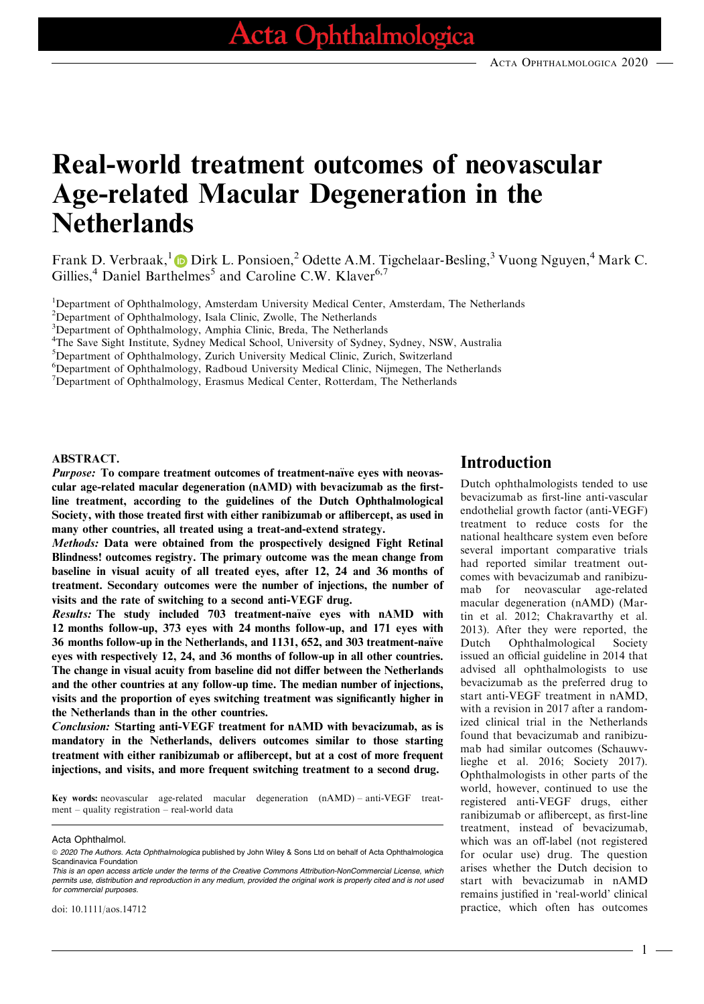# Real-world treatment outcomes of neovascular Age-related Macular Degeneration in the **Netherlands**

Frank D. Verbraak,<sup>[1](https://orcid.org/0000-0001-7560-1423)</sup> D Dirk L. Ponsioen,<sup>2</sup> Odette A.M. Tigchelaar-Besling,<sup>3</sup> Vuong Nguyen,<sup>4</sup> Mark C. Gillies,<sup>4</sup> Daniel Barthelmes<sup>5</sup> and Caroline C.W. Klaver<sup>6,7</sup>

<sup>1</sup>Department of Ophthalmology, Amsterdam University Medical Center, Amsterdam, The Netherlands

<sup>2</sup>Department of Ophthalmology, Isala Clinic, Zwolle, The Netherlands

<sup>3</sup>Department of Ophthalmology, Amphia Clinic, Breda, The Netherlands

4 The Save Sight Institute, Sydney Medical School, University of Sydney, Sydney, NSW, Australia

5 Department of Ophthalmology, Zurich University Medical Clinic, Zurich, Switzerland

6 Department of Ophthalmology, Radboud University Medical Clinic, Nijmegen, The Netherlands

<sup>7</sup>Department of Ophthalmology, Erasmus Medical Center, Rotterdam, The Netherlands

#### ABSTRACT.

Purpose: To compare treatment outcomes of treatment-naïve eyes with neovascular age-related macular degeneration (nAMD) with bevacizumab as the firstline treatment, according to the guidelines of the Dutch Ophthalmological Society, with those treated first with either ranibizumab or aflibercept, as used in many other countries, all treated using a treat-and-extend strategy.

Methods: Data were obtained from the prospectively designed Fight Retinal Blindness! outcomes registry. The primary outcome was the mean change from baseline in visual acuity of all treated eyes, after 12, 24 and 36 months of treatment. Secondary outcomes were the number of injections, the number of visits and the rate of switching to a second anti-VEGF drug.

Results: The study included 703 treatment-naïve eyes with nAMD with 12 months follow-up, 373 eyes with 24 months follow-up, and 171 eyes with 36 months follow-up in the Netherlands, and 1131, 652, and 303 treatment-naïve eyes with respectively 12, 24, and 36 months of follow-up in all other countries. The change in visual acuity from baseline did not differ between the Netherlands and the other countries at any follow-up time. The median number of injections, visits and the proportion of eyes switching treatment was significantly higher in the Netherlands than in the other countries.

Conclusion: Starting anti-VEGF treatment for nAMD with bevacizumab, as is mandatory in the Netherlands, delivers outcomes similar to those starting treatment with either ranibizumab or aflibercept, but at a cost of more frequent injections, and visits, and more frequent switching treatment to a second drug.

Key words: neovascular age-related macular degeneration (nAMD) – anti-VEGF treatment – quality registration – real-world data

### Introduction

Dutch ophthalmologists tended to use bevacizumab as first-line anti-vascular endothelial growth factor (anti-VEGF) treatment to reduce costs for the national healthcare system even before several important comparative trials had reported similar treatment outcomes with bevacizumab and ranibizumab for neovascular age-related macular degeneration (nAMD) (Martin et al. 2012; Chakravarthy et al. 2013). After they were reported, the Dutch Ophthalmological Society issued an official guideline in 2014 that advised all ophthalmologists to use bevacizumab as the preferred drug to start anti-VEGF treatment in nAMD, with a revision in 2017 after a randomized clinical trial in the Netherlands found that bevacizumab and ranibizumab had similar outcomes (Schauwvlieghe et al. 2016; Society 2017). Ophthalmologists in other parts of the world, however, continued to use the registered anti-VEGF drugs, either ranibizumab or aflibercept, as first-line treatment, instead of bevacizumab, which was an off-label (not registered for ocular use) drug. The question arises whether the Dutch decision to start with bevacizumab in nAMD remains justified in 'real-world' clinical practice, which often has outcomes

1

Acta Ophthalmol.

<sup>© 2020</sup> The Authors. Acta Ophthalmologica published by John Wiley & Sons Ltd on behalf of Acta Ophthalmologica Scandinavica Foundation

This is an open access article under the terms of the [Creative Commons Attribution-NonCommercial](http://creativecommons.org/licenses/by-nc/4.0/) License, which permits use, distribution and reproduction in any medium, provided the original work is properly cited and is not used for commercial purposes.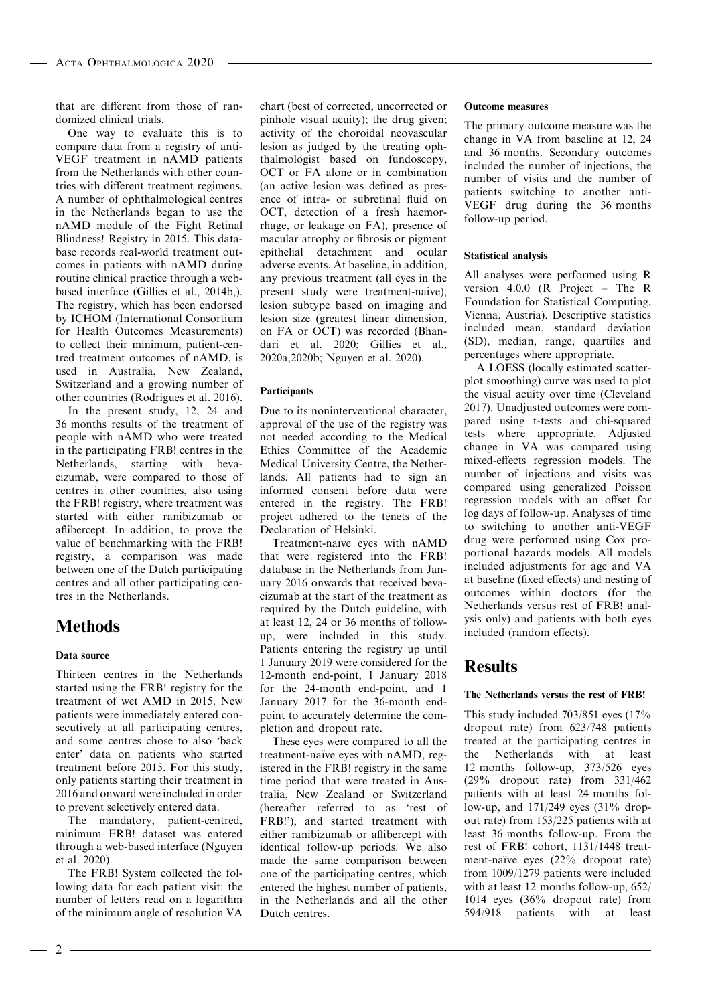that are different from those of randomized clinical trials.

One way to evaluate this is to compare data from a registry of anti-VEGF treatment in nAMD patients from the Netherlands with other countries with different treatment regimens. A number of ophthalmological centres in the Netherlands began to use the nAMD module of the Fight Retinal Blindness! Registry in 2015. This database records real-world treatment outcomes in patients with nAMD during routine clinical practice through a webbased interface (Gillies et al., 2014b,). The registry, which has been endorsed by ICHOM (International Consortium for Health Outcomes Measurements) to collect their minimum, patient-centred treatment outcomes of nAMD, is used in Australia, New Zealand, Switzerland and a growing number of other countries (Rodrigues et al. 2016).

In the present study, 12, 24 and 36 months results of the treatment of people with nAMD who were treated in the participating FRB! centres in the Netherlands, starting with bevacizumab, were compared to those of centres in other countries, also using the FRB! registry, where treatment was started with either ranibizumab or aflibercept. In addition, to prove the value of benchmarking with the FRB! registry, a comparison was made between one of the Dutch participating centres and all other participating centres in the Netherlands.

# **Methods**

#### Data source

Thirteen centres in the Netherlands started using the FRB! registry for the treatment of wet AMD in 2015. New patients were immediately entered consecutively at all participating centres, and some centres chose to also 'back enter' data on patients who started treatment before 2015. For this study, only patients starting their treatment in 2016 and onward were included in order to prevent selectively entered data.

The mandatory, patient-centred, minimum FRB! dataset was entered through a web-based interface (Nguyen et al. 2020).

The FRB! System collected the following data for each patient visit: the number of letters read on a logarithm of the minimum angle of resolution VA

chart (best of corrected, uncorrected or pinhole visual acuity); the drug given; activity of the choroidal neovascular lesion as judged by the treating ophthalmologist based on fundoscopy, OCT or FA alone or in combination (an active lesion was defined as presence of intra- or subretinal fluid on OCT, detection of a fresh haemorrhage, or leakage on FA), presence of macular atrophy or fibrosis or pigment epithelial detachment and ocular adverse events. At baseline, in addition, any previous treatment (all eyes in the present study were treatment-naive), lesion subtype based on imaging and lesion size (greatest linear dimension, on FA or OCT) was recorded (Bhandari et al. 2020; Gillies et al., 2020a,2020b; Nguyen et al. 2020).

#### **Participants**

Due to its noninterventional character, approval of the use of the registry was not needed according to the Medical Ethics Committee of the Academic Medical University Centre, the Netherlands. All patients had to sign an informed consent before data were entered in the registry. The FRB! project adhered to the tenets of the Declaration of Helsinki.

Treatment-naïve eyes with nAMD that were registered into the FRB! database in the Netherlands from January 2016 onwards that received bevacizumab at the start of the treatment as required by the Dutch guideline, with at least 12, 24 or 36 months of followup, were included in this study. Patients entering the registry up until 1 January 2019 were considered for the 12-month end-point, 1 January 2018 for the 24-month end-point, and 1 January 2017 for the 36-month endpoint to accurately determine the completion and dropout rate.

These eyes were compared to all the treatment-naïve eyes with nAMD, registered in the FRB! registry in the same time period that were treated in Australia, New Zealand or Switzerland (hereafter referred to as 'rest of FRB!'), and started treatment with either ranibizumab or aflibercept with identical follow-up periods. We also made the same comparison between one of the participating centres, which entered the highest number of patients, in the Netherlands and all the other Dutch centres.

#### Outcome measures

The primary outcome measure was the change in VA from baseline at 12, 24 and 36 months. Secondary outcomes included the number of injections, the number of visits and the number of patients switching to another anti-VEGF drug during the 36 months follow-up period.

#### Statistical analysis

All analyses were performed using R version 4.0.0 (R Project – The R Foundation for Statistical Computing, Vienna, Austria). Descriptive statistics included mean, standard deviation (SD), median, range, quartiles and percentages where appropriate.

A LOESS (locally estimated scatterplot smoothing) curve was used to plot the visual acuity over time (Cleveland 2017). Unadjusted outcomes were compared using t-tests and chi-squared tests where appropriate. Adjusted change in VA was compared using mixed-effects regression models. The number of injections and visits was compared using generalized Poisson regression models with an offset for log days of follow-up. Analyses of time to switching to another anti-VEGF drug were performed using Cox proportional hazards models. All models included adjustments for age and VA at baseline (fixed effects) and nesting of outcomes within doctors (for the Netherlands versus rest of FRB! analysis only) and patients with both eyes included (random effects).

# Results

#### The Netherlands versus the rest of FRB!

This study included 703/851 eyes (17% dropout rate) from 623/748 patients treated at the participating centres in the Netherlands with at least 12 months follow-up, 373/526 eyes (29% dropout rate) from 331/462 patients with at least 24 months follow-up, and 171/249 eyes (31% dropout rate) from 153/225 patients with at least 36 months follow-up. From the rest of FRB! cohort, 1131/1448 treatment-naïve eyes  $(22\%$  dropout rate) from 1009/1279 patients were included with at least 12 months follow-up, 652/ 1014 eyes (36% dropout rate) from 594/918 patients with at least

 $-2 -$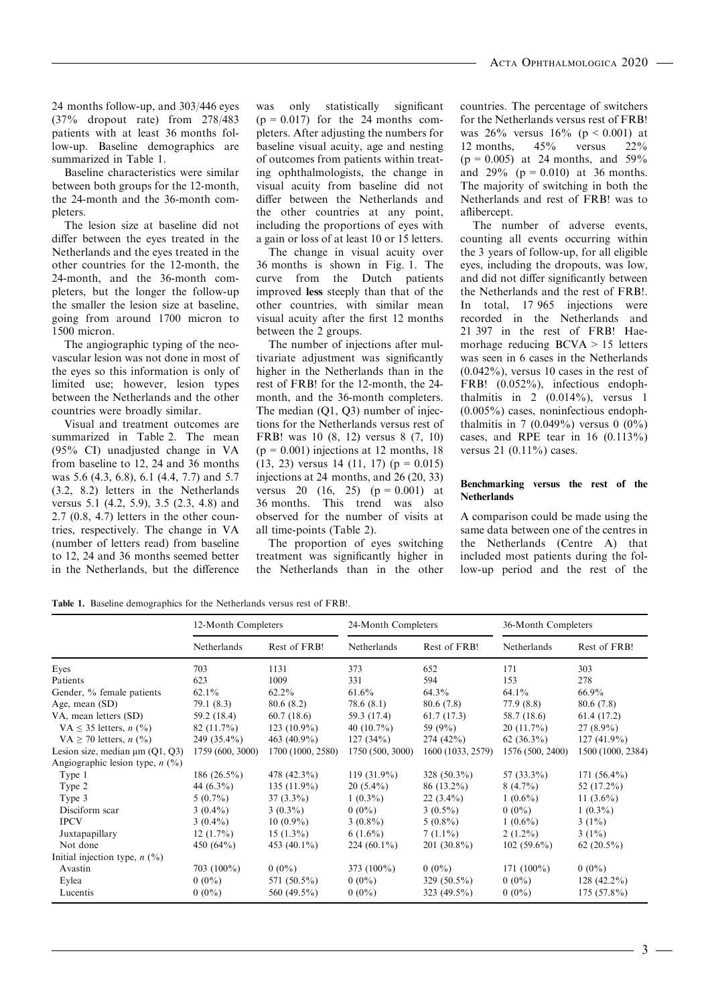24 months follow-up, and 303/446 eyes (37% dropout rate) from 278/483 patients with at least 36 months follow-up. Baseline demographics are summarized in Table 1.

Baseline characteristics were similar between both groups for the 12-month, the 24-month and the 36-month completers.

The lesion size at baseline did not differ between the eyes treated in the Netherlands and the eyes treated in the other countries for the 12-month, the 24-month, and the 36-month completers, but the longer the follow-up the smaller the lesion size at baseline, going from around 1700 micron to 1500 micron.

The angiographic typing of the neovascular lesion was not done in most of the eyes so this information is only of limited use; however, lesion types between the Netherlands and the other countries were broadly similar.

Visual and treatment outcomes are summarized in Table 2. The mean (95% CI) unadjusted change in VA from baseline to 12, 24 and 36 months was 5.6 (4.3, 6.8), 6.1 (4.4, 7.7) and 5.7 (3.2, 8.2) letters in the Netherlands versus 5.1 (4.2, 5.9), 3.5 (2.3, 4.8) and 2.7 (0.8, 4.7) letters in the other countries, respectively. The change in VA (number of letters read) from baseline to 12, 24 and 36 months seemed better in the Netherlands, but the difference

was only statistically significant  $(p = 0.017)$  for the 24 months completers. After adjusting the numbers for baseline visual acuity, age and nesting of outcomes from patients within treating ophthalmologists, the change in visual acuity from baseline did not differ between the Netherlands and the other countries at any point, including the proportions of eyes with a gain or loss of at least 10 or 15 letters.

The change in visual acuity over 36 months is shown in Fig. 1. The curve from the Dutch patients improved less steeply than that of the other countries, with similar mean visual acuity after the first 12 months between the 2 groups.

The number of injections after multivariate adjustment was significantly higher in the Netherlands than in the rest of FRB! for the 12-month, the 24 month, and the 36-month completers. The median (Q1, Q3) number of injections for the Netherlands versus rest of FRB! was 10 (8, 12) versus 8 (7, 10)  $(p = 0.001)$  injections at 12 months, 18  $(13, 23)$  versus 14  $(11, 17)$  (p = 0.015) injections at 24 months, and 26 (20, 33) versus 20  $(16, 25)$   $(p = 0.001)$  at 36 months. This trend was also observed for the number of visits at all time-points (Table 2).

The proportion of eyes switching treatment was significantly higher in the Netherlands than in the other countries. The percentage of switchers for the Netherlands versus rest of FRB! was  $26\%$  versus  $16\%$  (p < 0.001) at 12 months, 45% versus 22%  $(p = 0.005)$  at 24 months, and 59% and  $29\%$  (p = 0.010) at 36 months. The majority of switching in both the Netherlands and rest of FRB! was to aflibercept.

The number of adverse events, counting all events occurring within the 3 years of follow-up, for all eligible eyes, including the dropouts, was low, and did not differ significantly between the Netherlands and the rest of FRB!. In total, 17 965 injections were recorded in the Netherlands and 21 397 in the rest of FRB! Haemorhage reducing BCVA > 15 letters was seen in 6 cases in the Netherlands (0.042%), versus 10 cases in the rest of FRB! (0.052%), infectious endophthalmitis in 2  $(0.014\%)$ , versus 1 (0.005%) cases, noninfectious endophthalmitis in 7 (0.049%) versus 0 (0%) cases, and RPE tear in  $16$   $(0.113\%)$ versus 21 (0.11%) cases.

#### Benchmarking versus the rest of the **Netherlands**

A comparison could be made using the same data between one of the centres in the Netherlands (Centre A) that included most patients during the follow-up period and the rest of the

Table 1. Baseline demographics for the Netherlands versus rest of FRB!.

|                                      | 12-Month Completers |                   | 24-Month Completers |                   | 36-Month Completers |                   |
|--------------------------------------|---------------------|-------------------|---------------------|-------------------|---------------------|-------------------|
|                                      | Netherlands         | Rest of FRB!      | Netherlands         | Rest of FRB!      | Netherlands         | Rest of FRB!      |
| Eyes                                 | 703                 | 1131              | 373                 | 652               | 171                 | 303               |
| Patients                             | 623                 | 1009              | 331                 | 594               | 153                 | 278               |
| Gender, % female patients            | $62.1\%$            | $62.2\%$          | $61.6\%$            | $64.3\%$          | $64.1\%$            | $66.9\%$          |
| Age, mean (SD)                       | 79.1(8.3)           | 80.6(8.2)         | 78.6(8.1)           | 80.6(7.8)         | 77.9(8.8)           | 80.6 (7.8)        |
| VA, mean letters (SD)                | 59.2 (18.4)         | 60.7(18.6)        | 59.3 (17.4)         | 61.7(17.3)        | 58.7 (18.6)         | 61.4 (17.2)       |
| VA $\leq$ 35 letters, <i>n</i> (%)   | $82(11.7\%)$        | $123(10.9\%)$     | 40 $(10.7\%)$       | 59 (9%)           | $20(11.7\%)$        | $27(8.9\%)$       |
| VA $\geq$ 70 letters, <i>n</i> (%)   | 249 (35.4%)         | 463 $(40.9\%)$    | 127(34%)            | 274(42%)          | $62(36.3\%)$        | $127(41.9\%)$     |
| Lesion size, median $\mu$ m (Q1, Q3) | 1759 (600, 3000)    | 1700 (1000, 2580) | 1750 (500, 3000)    | 1600 (1033, 2579) | 1576 (500, 2400)    | 1500 (1000, 2384) |
| Angiographic lesion type, $n$ (%)    |                     |                   |                     |                   |                     |                   |
| Type 1                               | 186 $(26.5\%)$      | 478 (42.3%)       | $119(31.9\%)$       | 328 $(50.3\%)$    | 57 $(33.3\%)$       | 171 $(56.4\%)$    |
| Type 2                               | 44 $(6.3\%)$        | $135(11.9\%)$     | $20(5.4\%)$         | $86(13.2\%)$      | $8(4.7\%)$          | 52 $(17.2\%)$     |
| Type 3                               | $5(0.7\%)$          | $37(3.3\%)$       | $1(0.3\%)$          | $22(3.4\%)$       | $1(0.6\%)$          | 11 $(3.6\%)$      |
| Disciform scar                       | $3(0.4\%)$          | $3(0.3\%)$        | $0(0\%)$            | $3(0.5\%)$        | $0(0\%)$            | $1(0.3\%)$        |
| <b>IPCV</b>                          | $3(0.4\%)$          | $10(0.9\%)$       | $3(0.8\%)$          | $5(0.8\%)$        | $1(0.6\%)$          | $3(1\%)$          |
| Juxtapapillary                       | $12(1.7\%)$         | $15(1.3\%)$       | $6(1.6\%)$          | $7(1.1\%)$        | $2(1.2\%)$          | $3(1\%)$          |
| Not done                             | 450 $(64\%)$        | 453 $(40.1\%)$    | 224 $(60.1\%)$      | $201(30.8\%)$     | $102(59.6\%)$       | 62 $(20.5\%)$     |
| Initial injection type, $n$ (%)      |                     |                   |                     |                   |                     |                   |
| Avastin                              | 703 $(100\%)$       | $0(0\%)$          | 373 $(100\%)$       | $0(0\%)$          | $171(100\%)$        | $0(0\%)$          |
| Eylea                                | $0(0\%)$            | 571 (50.5%)       | $0(0\%)$            | 329 $(50.5\%)$    | $0(0\%)$            | $128(42.2\%)$     |
| Lucentis                             | $0(0\%)$            | 560 (49.5%)       | $0(0\%)$            | 323 $(49.5\%)$    | $0(0\%)$            | $175(57.8\%)$     |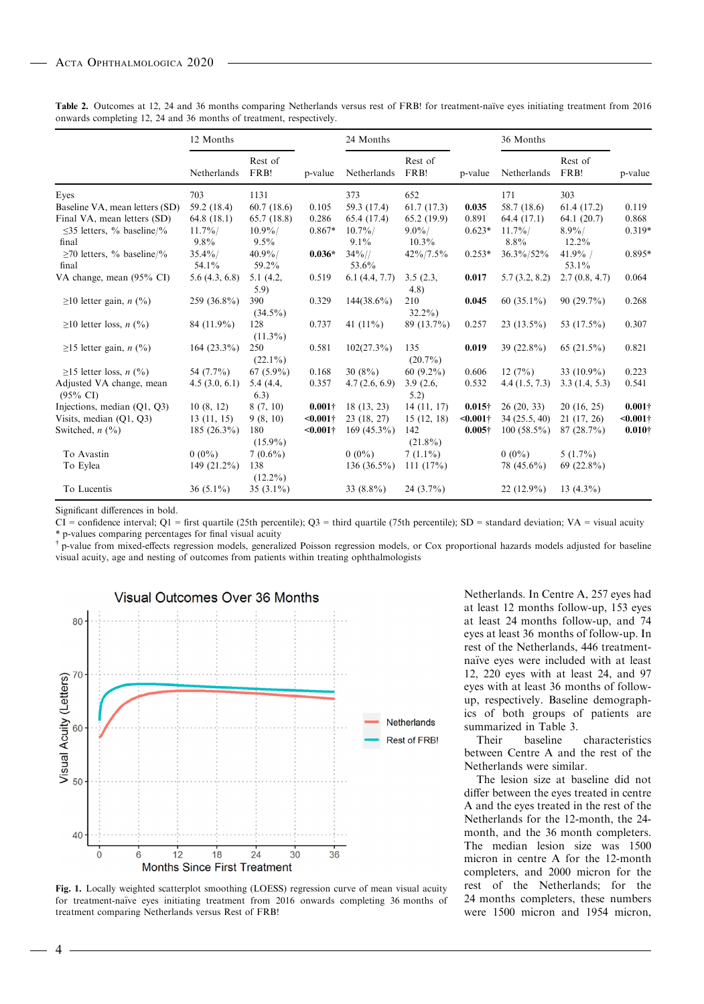|                                                 | 12 Months         |                     |                | 24 Months           |                     |                | 36 Months           |                      |                 |
|-------------------------------------------------|-------------------|---------------------|----------------|---------------------|---------------------|----------------|---------------------|----------------------|-----------------|
|                                                 | Netherlands       | Rest of<br>FRB!     | p-value        | Netherlands         | Rest of<br>FRB!     | p-value        | Netherlands         | Rest of<br>FRB!      | p-value         |
| Eyes                                            | 703               | 1131                |                | 373                 | 652                 |                | 171                 | 303                  |                 |
| Baseline VA, mean letters (SD)                  | 59.2 (18.4)       | 60.7(18.6)          | 0.105          | 59.3 (17.4)         | 61.7(17.3)          | 0.035          | 58.7 (18.6)         | 61.4(17.2)           | 0.119           |
| Final VA, mean letters (SD)                     | 64.8(18.1)        | 65.7(18.8)          | 0.286          | 65.4 (17.4)         | 65.2(19.9)          | 0.891          | 64.4 (17.1)         | 64.1(20.7)           | 0.868           |
| $\leq$ 35 letters, % baseline/%<br>final        | $11.7\%$<br>9.8%  | $10.9\%$<br>$9.5\%$ | $0.867*$       | $10.7\%$<br>$9.1\%$ | $9.0\%$<br>$10.3\%$ | $0.623*$       | $11.7\%$<br>$8.8\%$ | $8.9\%/$<br>$12.2\%$ | $0.319*$        |
| $\geq$ 70 letters, % baseline/%<br>final        | $35.4\%$<br>54.1% | $40.9\%$<br>59.2%   | $0.036*$       | $34\%/$<br>53.6%    | 42%/7.5%            | $0.253*$       | 36.3%/52%           | $41.9\%$ /<br>53.1%  | 0.895*          |
| VA change, mean (95% CI)                        | 5.6(4.3, 6.8)     | 5.1 (4.2,<br>5.9    | 0.519          | 6.1(4.4, 7.7)       | 3.5(2.3,<br>4.8)    | 0.017          | 5.7(3.2, 8.2)       | 2.7(0.8, 4.7)        | 0.064           |
| $\geq$ 10 letter gain, <i>n</i> (%)             | 259 (36.8%)       | 390<br>$(34.5\%)$   | 0.329          | $144(38.6\%)$       | 210<br>$32.2\%$     | 0.045          | 60 $(35.1\%)$       | $90(29.7\%)$         | 0.268           |
| $\geq$ 10 letter loss, <i>n</i> (%)             | 84 (11.9%)        | 128<br>$(11.3\%)$   | 0.737          | 41 $(11\%)$         | 89 (13.7%)          | 0.257          | $23(13.5\%)$        | 53 (17.5%)           | 0.307           |
| $\geq$ 15 letter gain, <i>n</i> (%)             | $164(23.3\%)$     | 250<br>$(22.1\%)$   | 0.581          | $102(27.3\%)$       | 135<br>$(20.7\%)$   | 0.019          | 39 (22.8%)          | 65 $(21.5\%)$        | 0.821           |
| $\geq$ 15 letter loss, <i>n</i> (%)             | 54 (7.7%)         | $67(5.9\%)$         | 0.168          | 30(8%)              | 60 $(9.2\%)$        | 0.606          | 12(7%)              | 33 $(10.9\%)$        | 0.223           |
| Adjusted VA change, mean<br>$(95\% \text{ CI})$ | 4.5(3.0, 6.1)     | 5.4 (4.4,<br>(6.3)  | 0.357          | 4.7(2.6, 6.9)       | 3.9(2.6,<br>5.2)    | 0.532          | 4.4(1.5, 7.3)       | 3.3(1.4, 5.3)        | 0.541           |
| Injections, median (Q1, Q3)                     | 10(8, 12)         | 8(7, 10)            | $0.001\dagger$ | 18 (13, 23)         | 14(11, 17)          | $0.015\dagger$ | 26(20, 33)          | 20(16, 25)           | $0.001\dagger$  |
| Visits, median $(Q1, Q3)$                       | 13(11, 15)        | 9(8, 10)            | $< 0.001$ †    | 23 (18, 27)         | 15(12, 18)          | $< 0.001$ †    | 34 (25.5, 40)       | 21 (17, 26)          | $<0.001\dagger$ |
| Switched, $n$ $(\frac{9}{6})$                   | 185 $(26.3\%)$    | 180<br>$(15.9\%)$   | $< 0.001$ †    | $169(45.3\%)$       | 142<br>$(21.8\%)$   | $0.005\dagger$ | $100(58.5\%)$       | 87(28.7%)            | $0.010\dagger$  |
| To Avastin                                      | $0(0\%)$          | $7(0.6\%)$          |                | $0(0\%)$            | $7(1.1\%)$          |                | $0(0\%)$            | $5(1.7\%)$           |                 |
| To Eylea                                        | $149(21.2\%)$     | 138<br>$(12.2\%)$   |                | $136(36.5\%)$       | 111 $(17%)$         |                | 78 (45.6%)          | 69 $(22.8\%)$        |                 |
| To Lucentis                                     | $36(5.1\%)$       | 35 $(3.1\%)$        |                | 33 $(8.8\%)$        | $24(3.7\%)$         |                | $22(12.9\%)$        | 13 $(4.3\%)$         |                 |
|                                                 |                   |                     |                |                     |                     |                |                     |                      |                 |

Table 2. Outcomes at 12, 24 and 36 months comparing Netherlands versus rest of FRB! for treatment-naïve eyes initiating treatment from 2016 onwards completing 12, 24 and 36 months of treatment, respectively.

Significant differences in bold.

CI = confidence interval; Q1 = first quartile (25th percentile); Q3 = third quartile (75th percentile); SD = standard deviation; VA = visual acuity \* p-values comparing percentages for final visual acuity

<sup>†</sup> p-value from mixed-effects regression models, generalized Poisson regression models, or Cox proportional hazards models adjusted for baseline visual acuity, age and nesting of outcomes from patients within treating ophthalmologists



Fig. 1. Locally weighted scatterplot smoothing (LOESS) regression curve of mean visual acuity for treatment-naïve eyes initiating treatment from 2016 onwards completing 36 months of treatment comparing Netherlands versus Rest of FRB!

Netherlands. In Centre A, 257 eyes had at least 12 months follow-up, 153 eyes at least 24 months follow-up, and 74 eyes at least 36 months of follow-up. In rest of the Netherlands, 446 treatmentnaïve eyes were included with at least 12, 220 eyes with at least 24, and 97 eyes with at least 36 months of followup, respectively. Baseline demographics of both groups of patients are summarized in Table 3.

Their baseline characteristics between Centre A and the rest of the Netherlands were similar.

The lesion size at baseline did not differ between the eyes treated in centre A and the eyes treated in the rest of the Netherlands for the 12-month, the 24 month, and the 36 month completers. The median lesion size was 1500 micron in centre A for the 12-month completers, and 2000 micron for the rest of the Netherlands; for the 24 months completers, these numbers were 1500 micron and 1954 micron,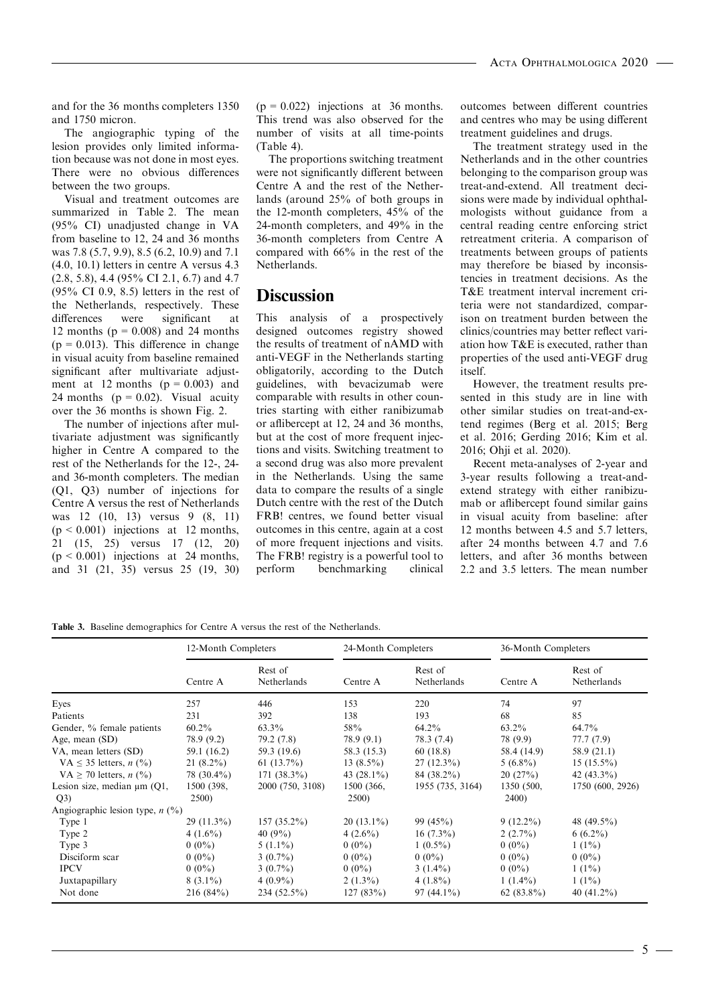and for the 36 months completers 1350 and 1750 micron.

The angiographic typing of the lesion provides only limited information because was not done in most eyes. There were no obvious differences between the two groups.

Visual and treatment outcomes are summarized in Table 2. The mean (95% CI) unadjusted change in VA from baseline to 12, 24 and 36 months was 7.8 (5.7, 9.9), 8.5 (6.2, 10.9) and 7.1 (4.0, 10.1) letters in centre A versus 4.3 (2.8, 5.8), 4.4 (95% CI 2.1, 6.7) and 4.7 (95% CI 0.9, 8.5) letters in the rest of the Netherlands, respectively. These differences were significant at 12 months ( $p = 0.008$ ) and 24 months  $(p = 0.013)$ . This difference in change in visual acuity from baseline remained significant after multivariate adjustment at 12 months  $(p = 0.003)$  and 24 months ( $p = 0.02$ ). Visual acuity over the 36 months is shown Fig. 2.

The number of injections after multivariate adjustment was significantly higher in Centre A compared to the rest of the Netherlands for the 12-, 24 and 36-month completers. The median (Q1, Q3) number of injections for Centre A versus the rest of Netherlands was 12 (10, 13) versus 9 (8, 11)  $(p < 0.001)$  injections at 12 months, 21 (15, 25) versus 17 (12, 20)  $(p < 0.001)$  injections at 24 months, and 31 (21, 35) versus 25 (19, 30)

 $(p = 0.022)$  injections at 36 months. This trend was also observed for the number of visits at all time-points (Table 4).

The proportions switching treatment were not significantly different between Centre A and the rest of the Netherlands (around 25% of both groups in the 12-month completers, 45% of the 24-month completers, and 49% in the 36-month completers from Centre A compared with 66% in the rest of the Netherlands.

# **Discussion**

This analysis of a prospectively designed outcomes registry showed the results of treatment of nAMD with anti-VEGF in the Netherlands starting obligatorily, according to the Dutch guidelines, with bevacizumab were comparable with results in other countries starting with either ranibizumab or aflibercept at 12, 24 and 36 months, but at the cost of more frequent injections and visits. Switching treatment to a second drug was also more prevalent in the Netherlands. Using the same data to compare the results of a single Dutch centre with the rest of the Dutch FRB! centres, we found better visual outcomes in this centre, again at a cost of more frequent injections and visits. The FRB! registry is a powerful tool to perform benchmarking clinical outcomes between different countries and centres who may be using different treatment guidelines and drugs.

The treatment strategy used in the Netherlands and in the other countries belonging to the comparison group was treat-and-extend. All treatment decisions were made by individual ophthalmologists without guidance from a central reading centre enforcing strict retreatment criteria. A comparison of treatments between groups of patients may therefore be biased by inconsistencies in treatment decisions. As the T&E treatment interval increment criteria were not standardized, comparison on treatment burden between the clinics/countries may better reflect variation how T&E is executed, rather than properties of the used anti-VEGF drug itself.

However, the treatment results presented in this study are in line with other similar studies on treat-and-extend regimes (Berg et al. 2015; Berg et al. 2016; Gerding 2016; Kim et al. 2016; Ohji et al. 2020).

Recent meta-analyses of 2-year and 3-year results following a treat-andextend strategy with either ranibizumab or aflibercept found similar gains in visual acuity from baseline: after 12 months between 4.5 and 5.7 letters, after 24 months between 4.7 and 7.6 letters, and after 36 months between 2.2 and 3.5 letters. The mean number

Table 3. Baseline demographics for Centre A versus the rest of the Netherlands.

|                                    | 12-Month Completers |                        | 24-Month Completers |                        | 36-Month Completers |                        |
|------------------------------------|---------------------|------------------------|---------------------|------------------------|---------------------|------------------------|
|                                    | Centre A            | Rest of<br>Netherlands | Centre A            | Rest of<br>Netherlands | Centre A            | Rest of<br>Netherlands |
| Eyes                               | 257                 | 446                    | 153                 | 220                    | 74                  | 97                     |
| Patients                           | 231                 | 392                    | 138                 | 193                    | 68                  | 85                     |
| Gender, % female patients          | $60.2\%$            | 63.3%                  | 58%                 | $64.2\%$               | $63.2\%$            | $64.7\%$               |
| Age, mean (SD)                     | 78.9 (9.2)          | 79.2 (7.8)             | 78.9(9.1)           | 78.3 (7.4)             | 78 (9.9)            | 77.7(7.9)              |
| VA, mean letters (SD)              | 59.1 (16.2)         | 59.3 (19.6)            | 58.3 (15.3)         | 60(18.8)               | 58.4 (14.9)         | 58.9 (21.1)            |
| VA $\leq$ 35 letters, <i>n</i> (%) | $21(8.2\%)$         | 61 $(13.7\%)$          | 13 $(8.5\%)$        | $27(12.3\%)$           | $5(6.8\%)$          | $15(15.5\%)$           |
| VA $\geq$ 70 letters, <i>n</i> (%) | $78(30.4\%)$        | $171(38.3\%)$          | 43 $(28.1\%)$       | 84 (38.2%)             | 20(27%)             | 42 $(43.3\%)$          |
| Lesion size, median $\mu$ m (Q1,   | 1500 (398,          | 2000 (750, 3108)       | 1500 (366,          | 1955 (735, 3164)       | 1350 (500,          | 1750 (600, 2926)       |
| Q3)                                | 2500)               |                        | 2500)               |                        | 2400)               |                        |
| Angiographic lesion type, $n$ (%)  |                     |                        |                     |                        |                     |                        |
| Type 1                             | $29(11.3\%)$        | $157(35.2\%)$          | $20(13.1\%)$        | 99 $(45\%)$            | $9(12.2\%)$         | 48 $(49.5\%)$          |
| Type 2                             | $4(1.6\%)$          | 40 $(9\%)$             | $4(2.6\%)$          | $16(7.3\%)$            | $2(2.7\%)$          | $6(6.2\%)$             |
| Type 3                             | $0(0\%)$            | $5(1.1\%)$             | $0(0\%)$            | $1(0.5\%)$             | $0(0\%)$            | $1(1\%)$               |
| Disciform scar                     | $0(0\%)$            | $3(0.7\%)$             | $0(0\%)$            | $0(0\%)$               | $0(0\%)$            | $0(0\%)$               |
| <b>IPCV</b>                        | $0(0\%)$            | $3(0.7\%)$             | $0(0\%)$            | $3(1.4\%)$             | $0(0\%)$            | $1(1\%)$               |
| Juxtapapillary                     | $8(3.1\%)$          | $4(0.9\%)$             | $2(1.3\%)$          | $4(1.8\%)$             | $1(1.4\%)$          | $1(1\%)$               |
| Not done                           | 216(84%)            | $234(52.5\%)$          | 127(83%)            | $97(44.1\%)$           | $62(83.8\%)$        | 40 $(41.2\%)$          |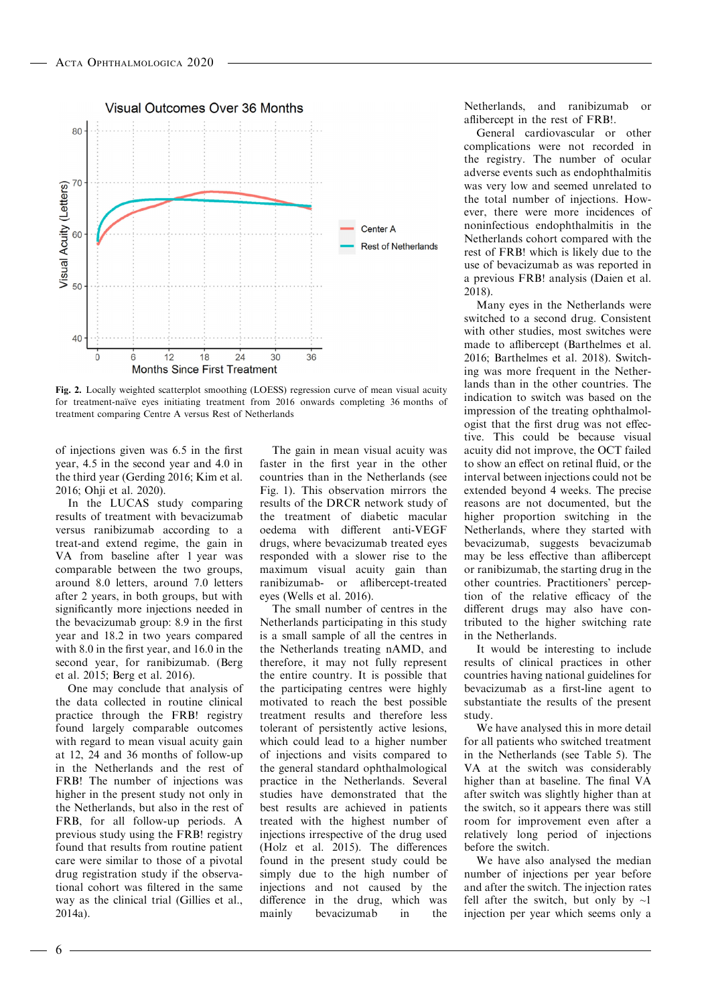

Fig. 2. Locally weighted scatterplot smoothing (LOESS) regression curve of mean visual acuity for treatment-naïve eyes initiating treatment from 2016 onwards completing 36 months of treatment comparing Centre A versus Rest of Netherlands

of injections given was 6.5 in the first year, 4.5 in the second year and 4.0 in the third year (Gerding 2016; Kim et al. 2016; Ohji et al. 2020).

In the LUCAS study comparing results of treatment with bevacizumab versus ranibizumab according to a treat-and extend regime, the gain in VA from baseline after 1 year was comparable between the two groups, around 8.0 letters, around 7.0 letters after 2 years, in both groups, but with significantly more injections needed in the bevacizumab group: 8.9 in the first year and 18.2 in two years compared with 8.0 in the first year, and 16.0 in the second year, for ranibizumab. (Berg et al. 2015; Berg et al. 2016).

One may conclude that analysis of the data collected in routine clinical practice through the FRB! registry found largely comparable outcomes with regard to mean visual acuity gain at 12, 24 and 36 months of follow-up in the Netherlands and the rest of FRB! The number of injections was higher in the present study not only in the Netherlands, but also in the rest of FRB, for all follow-up periods. A previous study using the FRB! registry found that results from routine patient care were similar to those of a pivotal drug registration study if the observational cohort was filtered in the same way as the clinical trial (Gillies et al., 2014a).

The gain in mean visual acuity was faster in the first year in the other countries than in the Netherlands (see Fig. 1). This observation mirrors the results of the DRCR network study of the treatment of diabetic macular oedema with different anti-VEGF drugs, where bevacizumab treated eyes responded with a slower rise to the maximum visual acuity gain than ranibizumab- or aflibercept-treated eyes (Wells et al. 2016).

The small number of centres in the Netherlands participating in this study is a small sample of all the centres in the Netherlands treating nAMD, and therefore, it may not fully represent the entire country. It is possible that the participating centres were highly motivated to reach the best possible treatment results and therefore less tolerant of persistently active lesions, which could lead to a higher number of injections and visits compared to the general standard ophthalmological practice in the Netherlands. Several studies have demonstrated that the best results are achieved in patients treated with the highest number of injections irrespective of the drug used (Holz et al. 2015). The differences found in the present study could be simply due to the high number of injections and not caused by the difference in the drug, which was mainly bevacizumab in the

Netherlands, and ranibizumab or aflibercept in the rest of FRB!.

General cardiovascular or other complications were not recorded in the registry. The number of ocular adverse events such as endophthalmitis was very low and seemed unrelated to the total number of injections. However, there were more incidences of noninfectious endophthalmitis in the Netherlands cohort compared with the rest of FRB! which is likely due to the use of bevacizumab as was reported in a previous FRB! analysis (Daien et al. 2018).

Many eyes in the Netherlands were switched to a second drug. Consistent with other studies, most switches were made to aflibercept (Barthelmes et al. 2016; Barthelmes et al. 2018). Switching was more frequent in the Netherlands than in the other countries. The indication to switch was based on the impression of the treating ophthalmologist that the first drug was not effective. This could be because visual acuity did not improve, the OCT failed to show an effect on retinal fluid, or the interval between injections could not be extended beyond 4 weeks. The precise reasons are not documented, but the higher proportion switching in the Netherlands, where they started with bevacizumab, suggests bevacizumab may be less effective than aflibercept or ranibizumab, the starting drug in the other countries. Practitioners' perception of the relative efficacy of the different drugs may also have contributed to the higher switching rate in the Netherlands.

It would be interesting to include results of clinical practices in other countries having national guidelines for bevacizumab as a first-line agent to substantiate the results of the present study.

We have analysed this in more detail for all patients who switched treatment in the Netherlands (see Table 5). The VA at the switch was considerably higher than at baseline. The final VA after switch was slightly higher than at the switch, so it appears there was still room for improvement even after a relatively long period of injections before the switch.

We have also analysed the median number of injections per year before and after the switch. The injection rates fell after the switch, but only by  $\sim$ 1 injection per year which seems only a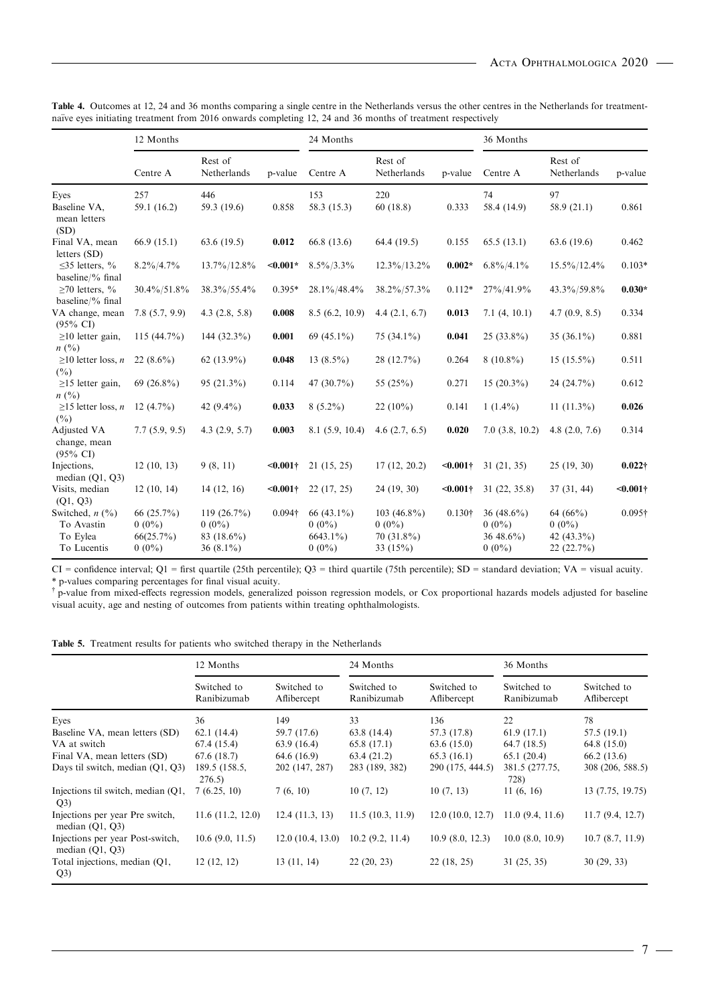|                                                                        | 12 Months                                       |                                                            |                | 24 Months                                           |                                                       |                | 36 Months                                          |                                                    |                 |
|------------------------------------------------------------------------|-------------------------------------------------|------------------------------------------------------------|----------------|-----------------------------------------------------|-------------------------------------------------------|----------------|----------------------------------------------------|----------------------------------------------------|-----------------|
|                                                                        | Centre A                                        | Rest of<br>Netherlands                                     | p-value        | Centre A                                            | Rest of<br>Netherlands                                | p-value        | Centre A                                           | Rest of<br>Netherlands                             | p-value         |
| Eyes                                                                   | 257                                             | 446                                                        |                | 153                                                 | 220                                                   |                | 74                                                 | 97                                                 |                 |
| Baseline VA,<br>mean letters<br>(SD)                                   | 59.1 (16.2)                                     | 59.3 (19.6)                                                | 0.858          | 58.3 (15.3)                                         | 60(18.8)                                              | 0.333          | 58.4 (14.9)                                        | 58.9(21.1)                                         | 0.861           |
| Final VA, mean<br>letters $(SD)$                                       | 66.9(15.1)                                      | 63.6(19.5)                                                 | 0.012          | 66.8 (13.6)                                         | 64.4(19.5)                                            | 0.155          | 65.5(13.1)                                         | 63.6 (19.6)                                        | 0.462           |
| $\leq$ 35 letters, %<br>baseline/ $\%$ final                           | $8.2\%/4.7\%$                                   | 13.7%/12.8%                                                | $< 0.001*$     | $8.5\%/3.3\%$                                       | 12.3%/13.2%                                           | $0.002*$       | $6.8\%/4.1\%$                                      | 15.5%/12.4%                                        | $0.103*$        |
| $\geq$ 70 letters, %<br>baseline/ $\%$ final                           | 30.4%/51.8%                                     | 38.3%/55.4%                                                | $0.395*$       | 28.1%/48.4%                                         | 38.2%/57.3%                                           | $0.112*$       | 27%/41.9%                                          | 43.3%/59.8%                                        | $0.030*$        |
| VA change, mean<br>$(95\% \text{ CI})$                                 | 7.8(5.7, 9.9)                                   | 4.3(2.8, 5.8)                                              | 0.008          | 8.5(6.2, 10.9)                                      | 4.4(2.1, 6.7)                                         | 0.013          | 7.1(4, 10.1)                                       | 4.7(0.9, 8.5)                                      | 0.334           |
| $\geq$ 10 letter gain,<br>n(%)                                         | $115(44.7\%)$                                   | 144 $(32.3\%)$                                             | 0.001          | 69 $(45.1\%)$                                       | $75(34.1\%)$                                          | 0.041          | $25(33.8\%)$                                       | $35(36.1\%)$                                       | 0.881           |
| $\geq 10$ letter loss, <i>n</i><br>$(^{0}_{0})$                        | 22 $(8.6\%)$                                    | $62(13.9\%)$                                               | 0.048          | 13 $(8.5\%)$                                        | $28(12.7\%)$                                          | 0.264          | $8(10.8\%)$                                        | $15(15.5\%)$                                       | 0.511           |
| $\geq$ 15 letter gain,<br>n(%)                                         | 69 $(26.8\%)$                                   | $95(21.3\%)$                                               | 0.114          | 47 $(30.7\%)$                                       | 55 $(25%)$                                            | 0.271          | $15(20.3\%)$                                       | $24(24.7\%)$                                       | 0.612           |
| $\geq$ 15 letter loss, <i>n</i><br>$($ %)                              | $12(4.7\%)$                                     | 42 $(9.4\%)$                                               | 0.033          | $8(5.2\%)$                                          | $22(10\%)$                                            | 0.141          | $1(1.4\%)$                                         | 11 $(11.3\%)$                                      | 0.026           |
| Adjusted VA<br>change, mean<br>$(95\% \text{ CI})$                     | 7.7(5.9, 9.5)                                   | 4.3(2.9, 5.7)                                              | 0.003          | 8.1(5.9, 10.4)                                      | 4.6 $(2.7, 6.5)$                                      | 0.020          | 7.0(3.8, 10.2)                                     | 4.8 $(2.0, 7.6)$                                   | 0.314           |
| Injections,<br>median $(Q1, Q3)$                                       | 12(10, 13)                                      | 9(8, 11)                                                   | $0.001†$       | 21(15, 25)                                          | 17(12, 20.2)                                          | $< 0.001 +$    | 31(21, 35)                                         | 25(19, 30)                                         | $0.022\dagger$  |
| Visits, median<br>(Q1, Q3)                                             | 12(10, 14)                                      | 14(12, 16)                                                 | $< 0.001$ †    | 22(17, 25)                                          | 24(19, 30)                                            | $0.001†$       | 31(22, 35.8)                                       | 37(31, 44)                                         | $<0.001\dagger$ |
| Switched, $n$ $(\frac{9}{0})$<br>To Avastin<br>To Eylea<br>To Lucentis | 66 (25.7%)<br>$0(0\%)$<br>66(25.7%)<br>$0(0\%)$ | $119(26.7\%)$<br>$0(0\%)$<br>83 $(18.6\%)$<br>36 $(8.1\%)$ | $0.094\dagger$ | 66 $(43.1\%)$<br>$0(0\%)$<br>$6643.1\%$<br>$0(0\%)$ | 103 (46.8%)<br>$0(0\%)$<br>$70(31.8\%)$<br>33 $(15%)$ | $0.130\dagger$ | 36 $(48.6\%)$<br>$0(0\%)$<br>36 48.6%)<br>$0(0\%)$ | 64 (66%)<br>$0(0\%)$<br>42 $(43.3\%)$<br>22(22.7%) | $0.095\dagger$  |

Table 4. Outcomes at 12, 24 and 36 months comparing a single centre in the Netherlands versus the other centres in the Netherlands for treatmentnaïve eyes initiating treatment from 2016 onwards completing 12, 24 and 36 months of treatment respectively

 $CI =$  confidence interval;  $Q1 =$  first quartile (25th percentile);  $Q3 =$  third quartile (75th percentile);  $SD =$  standard deviation;  $VA =$  visual acuity. \* p-values comparing percentages for final visual acuity.

 $\dagger$  p-value from mixed-effects regression models, generalized poisson regression models, or Cox proportional hazards models adjusted for baseline visual acuity, age and nesting of outcomes from patients within treating ophthalmologists.

Table 5. Treatment results for patients who switched therapy in the Netherlands

|                                                       | 12 Months                  |                            | 24 Months                  |                            | 36 Months                  |                            |
|-------------------------------------------------------|----------------------------|----------------------------|----------------------------|----------------------------|----------------------------|----------------------------|
|                                                       | Switched to<br>Ranibizumab | Switched to<br>Aflibercept | Switched to<br>Ranibizumab | Switched to<br>Aflibercept | Switched to<br>Ranibizumab | Switched to<br>Aflibercept |
| Eyes                                                  | 36                         | 149                        | 33                         | 136                        | 22                         | 78                         |
| Baseline VA, mean letters (SD)                        | 62.1(14.4)                 | 59.7 (17.6)                | 63.8(14.4)                 | 57.3 (17.8)                | 61.9(17.1)                 | 57.5 (19.1)                |
| VA at switch                                          | 67.4 (15.4)                | 63.9(16.4)                 | 65.8(17.1)                 | 63.6(15.0)                 | 64.7(18.5)                 | 64.8 (15.0)                |
| Final VA, mean letters (SD)                           | 67.6(18.7)                 | 64.6 (16.9)                | 63.4(21.2)                 | 65.3(16.1)                 | 65.1(20.4)                 | 66.2 (13.6)                |
| Days til switch, median (O1, O3)                      | 189.5 (158.5,<br>276.5     | 202 (147, 287)             | 283 (189, 382)             | 290 (175, 444.5)           | 381.5 (277.75,<br>728)     | 308 (206, 588.5)           |
| Injections til switch, median (O1,<br>Q3)             | 7(6.25, 10)                | 7(6, 10)                   | 10(7, 12)                  | 10(7, 13)                  | 11(6, 16)                  | 13 (7.75, 19.75)           |
| Injections per year Pre switch,<br>median $(Q1, Q3)$  | 11.6(11.2, 12.0)           | 12.4(11.3, 13)             | 11.5(10.3, 11.9)           | 12.0(10.0, 12.7)           | 11.0(9.4, 11.6)            | 11.7(9.4, 12.7)            |
| Injections per year Post-switch,<br>median $(Q1, Q3)$ | 10.6(9.0, 11.5)            | 12.0(10.4, 13.0)           | 10.2(9.2, 11.4)            | 10.9(8.0, 12.3)            | 10.0(8.0, 10.9)            | 10.7(8.7, 11.9)            |
| Total injections, median (Q1,<br>Q3)                  | 12(12, 12)                 | 13(11, 14)                 | 22(20, 23)                 | 22(18, 25)                 | 31(25, 35)                 | 30(29, 33)                 |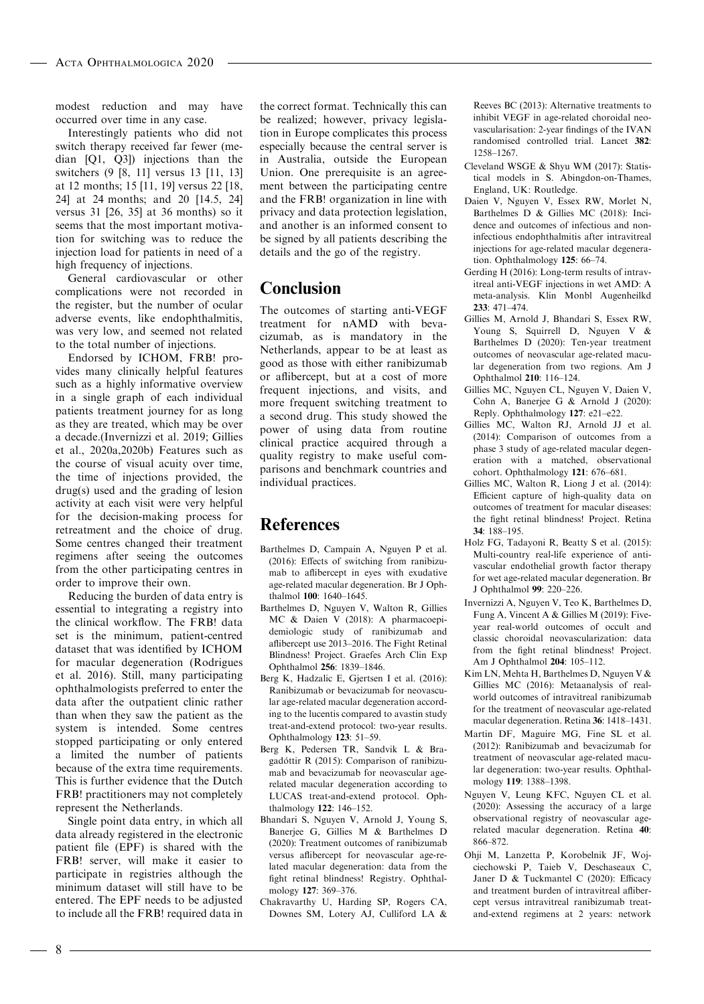modest reduction and may have occurred over time in any case.

Interestingly patients who did not switch therapy received far fewer (median [Q1, Q3]) injections than the switchers (9 [8, 11] versus 13 [11, 13] at 12 months; 15 [11, 19] versus 22 [18, 24] at 24 months; and 20 [14.5, 24] versus 31 [26, 35] at 36 months) so it seems that the most important motivation for switching was to reduce the injection load for patients in need of a high frequency of injections.

General cardiovascular or other complications were not recorded in the register, but the number of ocular adverse events, like endophthalmitis, was very low, and seemed not related to the total number of injections.

Endorsed by ICHOM, FRB! provides many clinically helpful features such as a highly informative overview in a single graph of each individual patients treatment journey for as long as they are treated, which may be over a decade.(Invernizzi et al. 2019; Gillies et al., 2020a,2020b) Features such as the course of visual acuity over time, the time of injections provided, the drug(s) used and the grading of lesion activity at each visit were very helpful for the decision-making process for retreatment and the choice of drug. Some centres changed their treatment regimens after seeing the outcomes from the other participating centres in order to improve their own.

Reducing the burden of data entry is essential to integrating a registry into the clinical workflow. The FRB! data set is the minimum, patient-centred dataset that was identified by ICHOM for macular degeneration (Rodrigues et al. 2016). Still, many participating ophthalmologists preferred to enter the data after the outpatient clinic rather than when they saw the patient as the system is intended. Some centres stopped participating or only entered a limited the number of patients because of the extra time requirements. This is further evidence that the Dutch FRB! practitioners may not completely represent the Netherlands.

Single point data entry, in which all data already registered in the electronic patient file (EPF) is shared with the FRB! server, will make it easier to participate in registries although the minimum dataset will still have to be entered. The EPF needs to be adjusted to include all the FRB! required data in

the correct format. Technically this can be realized; however, privacy legislation in Europe complicates this process especially because the central server is in Australia, outside the European Union. One prerequisite is an agreement between the participating centre and the FRB! organization in line with privacy and data protection legislation, and another is an informed consent to be signed by all patients describing the details and the go of the registry.

# Conclusion

The outcomes of starting anti-VEGF treatment for nAMD with bevacizumab, as is mandatory in the Netherlands, appear to be at least as good as those with either ranibizumab or aflibercept, but at a cost of more frequent injections, and visits, and more frequent switching treatment to a second drug. This study showed the power of using data from routine clinical practice acquired through a quality registry to make useful comparisons and benchmark countries and individual practices.

# References

- Barthelmes D, Campain A, Nguyen P et al. (2016): Effects of switching from ranibizumab to aflibercept in eyes with exudative age-related macular degeneration. Br J Ophthalmol 100: 1640–1645.
- Barthelmes D, Nguyen V, Walton R, Gillies MC & Daien V (2018): A pharmacoepidemiologic study of ranibizumab and aflibercept use 2013–2016. The Fight Retinal Blindness! Project. Graefes Arch Clin Exp Ophthalmol 256: 1839–1846.
- Berg K, Hadzalic E, Gjertsen I et al. (2016): Ranibizumab or bevacizumab for neovascular age-related macular degeneration according to the lucentis compared to avastin study treat-and-extend protocol: two-year results. Ophthalmology 123: 51–59.
- Berg K, Pedersen TR, Sandvik L & Bragadottir R (2015): Comparison of ranibizu- mab and bevacizumab for neovascular agerelated macular degeneration according to LUCAS treat-and-extend protocol. Ophthalmology 122: 146–152.
- Bhandari S, Nguyen V, Arnold J, Young S, Banerjee G, Gillies M & Barthelmes D (2020): Treatment outcomes of ranibizumab versus aflibercept for neovascular age-related macular degeneration: data from the fight retinal blindness! Registry. Ophthalmology 127: 369–376.
- Chakravarthy U, Harding SP, Rogers CA, Downes SM, Lotery AJ, Culliford LA &

Reeves BC (2013): Alternative treatments to inhibit VEGF in age-related choroidal neovascularisation: 2-year findings of the IVAN randomised controlled trial. Lancet 382: 1258–1267.

- Cleveland WSGE & Shyu WM (2017): Statistical models in S. Abingdon-on-Thames, England, UK: Routledge.
- Daien V, Nguyen V, Essex RW, Morlet N, Barthelmes D & Gillies MC (2018): Incidence and outcomes of infectious and noninfectious endophthalmitis after intravitreal injections for age-related macular degeneration. Ophthalmology 125: 66–74.
- Gerding H (2016): Long-term results of intravitreal anti-VEGF injections in wet AMD: A meta-analysis. Klin Monbl Augenheilkd 233: 471–474.
- Gillies M, Arnold J, Bhandari S, Essex RW, Young S, Squirrell D, Nguyen V & Barthelmes D (2020): Ten-year treatment outcomes of neovascular age-related macular degeneration from two regions. Am J Ophthalmol 210: 116–124.
- Gillies MC, Nguyen CL, Nguyen V, Daien V, Cohn A, Banerjee G & Arnold J (2020): Reply. Ophthalmology 127: e21–e22.
- Gillies MC, Walton RJ, Arnold JJ et al. (2014): Comparison of outcomes from a phase 3 study of age-related macular degeneration with a matched, observational cohort. Ophthalmology 121: 676–681.
- Gillies MC, Walton R, Liong J et al. (2014): Efficient capture of high-quality data on outcomes of treatment for macular diseases: the fight retinal blindness! Project. Retina 34: 188–195.
- Holz FG, Tadayoni R, Beatty S et al. (2015): Multi-country real-life experience of antivascular endothelial growth factor therapy for wet age-related macular degeneration. Br J Ophthalmol 99: 220–226.
- Invernizzi A, Nguyen V, Teo K, Barthelmes D, Fung A, Vincent A & Gillies M (2019): Fiveyear real-world outcomes of occult and classic choroidal neovascularization: data from the fight retinal blindness! Project. Am J Ophthalmol 204: 105–112.
- Kim LN, Mehta H, Barthelmes D, Nguyen V & Gillies MC (2016): Metaanalysis of realworld outcomes of intravitreal ranibizumab for the treatment of neovascular age-related macular degeneration. Retina 36: 1418–1431.
- Martin DF, Maguire MG, Fine SL et al. (2012): Ranibizumab and bevacizumab for treatment of neovascular age-related macular degeneration: two-year results. Ophthalmology 119: 1388–1398.
- Nguyen V, Leung KFC, Nguyen CL et al. (2020): Assessing the accuracy of a large observational registry of neovascular agerelated macular degeneration. Retina 40: 866–872.
- Ohji M, Lanzetta P, Korobelnik JF, Wojciechowski P, Taieb V, Deschaseaux C, Janer D & Tuckmantel C (2020): Efficacy and treatment burden of intravitreal aflibercept versus intravitreal ranibizumab treatand-extend regimens at 2 years: network